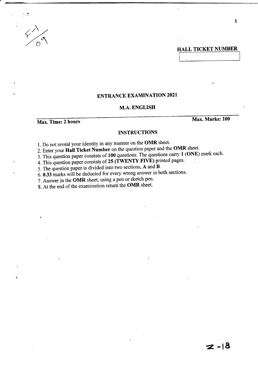

#### HALL TICKET NUMBER

### ENTRANCE EXAMINATION 2021

#### M.A. ENGLISH

# Max. Time: 2 hours Max. Marks: 100

#### **INSTRUCTIONS**

1. Do not reveal your identity in any manner on the OMR sheet.

2. Enter your Hall Ticket Number on the question paper and the OMR sheet.

3. This question paper consists of  $100$  questions. The questions carry 1 (ONE) mark each.

4. This question paper consists of 25 (TWENTY FIVE) printed pages.

5. The question paper is divided into two sections, A and B.

6.  $0.33$  marks will be deducted for every wrong answer in both sections.

7. Answer in the OMR sheet, using a pen or sketch pen'

8. At the end of the examination return the OMR sheet.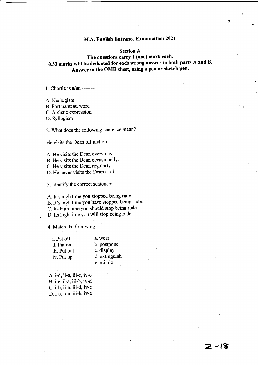# M.A. English Entrance Examination 2021

#### **Section A**

The questions carry 1 (one) mark each. 0.33 marks will be deducted for each wrong answer in both parts A and B. Answer in the OMR sheet, using a pen or sketch pen.

1. Chortle is a/an

A. Neologism

B. Portmanteau word

C. Archaic expression

D. Syllogism

2. What does the following sentence mean?

He visits the Dean off and on.

A. He visits the Dean every daY.

B. He visits the Dean occasionally.

C. He visits the Dean regularlY.

D. He never visits the Dean at all.

3. Identify the correct sentence:

A. It's high time you stopped being rude.

B. It's high time you have stopped being rude.

C. Its high time you should stop being rude.

D. Its high time you will stop being rude.

4. Match the following:

i. Put off ii. Put on iii. Put out iv. Put up

a. wear b. postpone c. display d. extinguish e. mimic

A. i-d, ii-a, iii-e, iv-c B. i-e, ii-a, iii-b, iv-d  $C.$  i-b, ii-a, iii-d, iv-c D. i-c, ii-a, iii-b, iv-e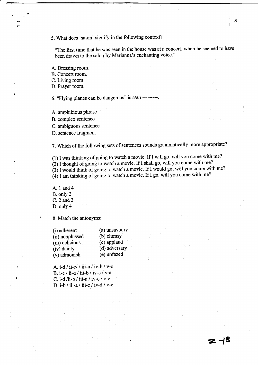# 5. What does 'salon' signify in the following context?

"The first time that he was seen in the house was at a concert, when he seemed to have been drawn to the salon by Marianna's enchanting voice."

A. Dressing room.

B. Concert room.

C. Living room

D. Prayer room.

6. "Flying planes can be dangerous" is  $a/an$  --------

A. amphibious phrase

B. complex sentence

C. ambiguous sentence

D. sentence fragment

7. Which of the following sets of sentences sounds grammatically more appropriate?

(1) I was thinking of going to watch a movie. If I will go, will you come with me?  $(2)$  I thought of going to watch a movie. If I shall go, will you come with me?  $(3)$  I would think of going to watch a movie. If I would go, will you come with me?  $(4)$  I am thinking of going to watch a movie. If I go, will you come with me?

?z-18

3

A. 1 and 4 B. only 2 C. 2 and 3 D. only 4

8. Match the antonYms:

| (i) adherent    | (a) unsayoury |
|-----------------|---------------|
| (ii) nonplussed | (b) clumsy    |
| (iii) delicious | (c) applaud   |
| (iv) dainty     | (d) adversary |
| (v) admonish    | (e) unfazed   |

A.  $i-d / ii-e / / iii-a / iv-b / v-c$ B. i-e / ii-d / iii-b / iv-c / v-a C. i-d/ii-b/iii-a/iv-c/v-e D. i-b / ii -a / iii-e / iv-d / v-c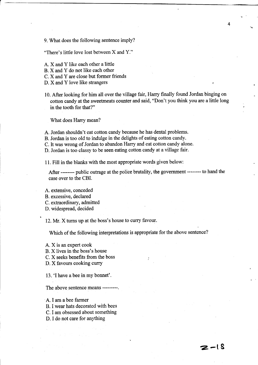9. What does the foliowing sentence imply?

"There's little love lost between X and Y."

A. X and Y like each other a little

B. X and Y do not like each other

- C. X and Y are close but former friends
- $D. X$  and  $Y$  love like strangers
- 10. After looking for him all over the village fair, Harry finally found Jordan binging on cotton candy at the sweetmeats counter and said, "Don't you think you are a little long in the tooth for that?"

What does Harry mean?

A. Jordan shouldn't eat cotton candy because he has dental problems.

- B. Jordan is too old to indulge in the delights of eating cotton candy.
- C. It was wrong of Jordan to abandon Harry and eat cotton candy alone'
- D. Jordan is too classy to be seen eating cotton candy at a village fair.

11. Fill in the blanks with the most appropriate words given below:

After ------- public outrage at the police brutality, the government -------- to hand the case over to the CBI.

A. extensive, conceded

B. excessive, declared

C. extraordinary, admitted

D. widespread, decided

12. Mr. X turns up at the boss's house to curry favour.

Which of the following interpretations is appropriate for the above sentence?

a

4

2-18

A. X is an expert cook

B. X lives in the boss's house

C. X seeks benefits from the boss

D. X favours cooking curry

13. 'I have a bee in my bonnet'.

The above sentence means --------

A. I am a bee farmer

B. I wear hats decorated with bees

C. I am obsessed about something

D. I do not care for anything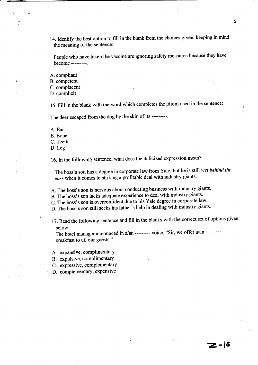14. Identify the best option to fill in the blank from the choices given, keeping in mind the meaning of the sentence:

people who have taken the vaccine are ignoring safety measures because they have become ---------.

A. compliant

B. competent

C. complacent

D. complicit

15. Fill in the blank with the word which completes the idiom used in the sentence:

The deer escaped from the dog by the skin of its ---------

A. Ear

B. Bone

C. Teeth

D. Leg

16. In the following sentence, what does the italicized expression mean?

The boss's son has a degree in corporate law from Yale, but he is still wet behind the ears when it comes to striking a profitable deal with industry giants.

A. The boss's son is nervous about conducting business with industry giants.

B. The boss's son lacks adequate experience to deal with industry giants.

C. The boss's son is overconfident due to his Yale degree in corporate law.

D. The boss's son still seeks his father's help in dealing with industry giants.

17. Read the following sentence and filI in the blanks with the correct set of options given below:

The hotel manager announced in a/an --------- voice, "Sir, we offer a/an --------breakfast to all our guests."

A. expansive, complimentary

B. expulsive, complimentary

C. expressive, complementary

D. complementary, expensive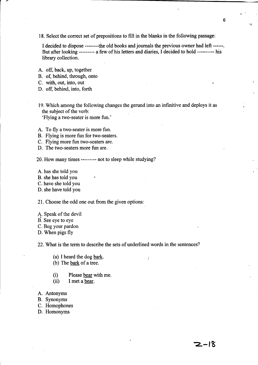18. Select the correct set of prepositions to fill in the blanks in the following passage:

I decided to dispose --------the old books and joumals the previous owner had left But after looking --------- a few of his letters and diaries, I decided to hold ---------- his library collection.

A. off, back, up, together

B. of, behind, through, onto

C. with, out, into, out

D. off, behind, into, forth

19. Which among the following changes the gerund into an infinitive and deploys it as the subject of the verb:

'Flying a two-seater is more fun.'

A. To fly a two-seater is more fun.

B. Flying is more fun for two-seaters.

C. Flying more fun two-seaters are.

D. The two-seaters more fun are.

20. How many times --------- not to sleep while studying?

A. has she told you

B. she has told you

C. have she told you

D. she have told you

21. Choose the odd one out from the given options:

A. Speak of the devil

B. See eye to eye

C. Beg your pardon

D. When pigs fly

22.What is the term to describe the sets of underlined words in the sentences?

(a) I heard the dog bark.

(b) The bark of a tree.

- (i) Please bear with me.
- (ii) I met a bear.

A. Antonyms

B. Synonyms

C. Homophones

D. Homonyms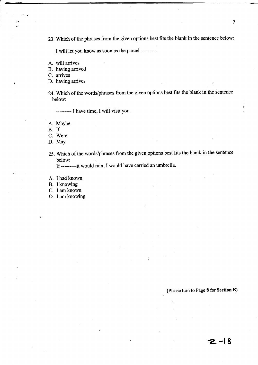23. Which of the phrases from the given options best fits the blank in the sentence below:

I will let you know as soon as the parcel

- A. will arrives
- B. having arrived
- C. arrives

 $\overline{z}$ 

D. having arrives

24. Which of the words/phrases from the given options best fits the blank in the sentence below:

-------- I have time, I will visit you.

- A. Maybe
- B, If
- C. Were
- D. May
- 25. Which of the words/phrases from the given options best fits the blank in the sentence below:

If ---------it would rain, I would have carried an umbrella.

A. I had known

B. I knowing

- C. I am known
- D. I am knowing

(Please turn to Page 8 for Section B)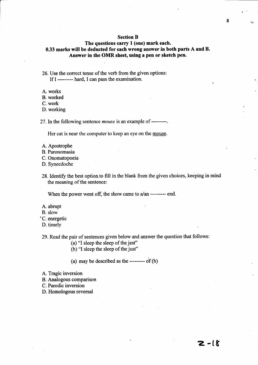#### Section B

#### The questions carry I (one) mark each. 0.33 marks will be deducted for each wrong answer in both parts A and B. Answer in the OMR sheet, using a pen or sketch pen.

26. Use the correct tense of the verb from the given options: If I --------- hard, I can pass the examination.

A. works

a

- B. worked
- C. work

D. working

27. In the following sentence *mouse* is an example of ---------

Her cat is near the computer to keep an eye on the mouse.

- A. Apostrophe
- B. Paronomasia
- C. Onomatopoeia
- D. Synecdoche
- 28. Identify the best optionto frll in the blank from the given choices, keeping in mind the meaning of the sentence:

When the power went off, the show came to a/an --------- end.

- A. abrupt
- B. slow
- 'C. energetic
- D. timely
- 29. Read the pair of sentences given below and answer the question that follows:
	- (a) "I sleep the sleep of the jest"
		- (b) "I sleep the sleep of the just"

(a) may be described as the  $---$  of  $(b)$ 

- A. Tragic inversion
- B. Analogous comparison
- C. Parodic inversion
- D. Homologous reversal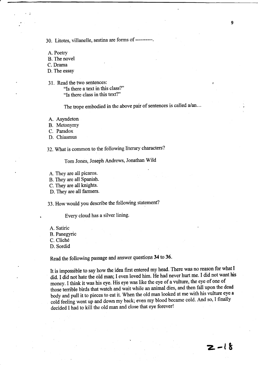30. Litotes, villanelle, sestina are forms of

- A. Poetry
- B. The novel
- C. Drama
- D. The essay
- 31. Read the two sentences:

"Is there a text in this class?" "Is there class in this text?"

The trope embodied in the above pair of sentences is called a/an...

A. Asyndeton

B. Metonymy

C. Paradox

D. Chiasmus

32. What is common to the following literary characters?

Tom Jones, Joseph Andrews, Jonathan Wild

- A. They are all picaros.
- B. They are all Spanish.

C. They are all knights.

D. They are all farmers.

33. How would you describe the following statement?

Every cloud has a silver lining.

- A. Satiric
- B. Panegyric C. Clich6

D. Sordid

Read the following passage and answer questions 34 to 36.

It is impossible to say how the idea first entered my head. There was no reason for what I did. I did not hate the old man; I even loved him. He had never hurt me. I did not want his money. I think it was his eye. His eye was like the eye of a vulture, the eye of one of those terrible birds that watch and wait while an animal dies, and then fall upon the dead body and pull it to pieces to eat it. When the old man looked at me with his vulture eye <sup>a</sup> cold feeling went up and down my back; even my blood became cold. And so, I finally decided I had to kili the old man and close that eye forever!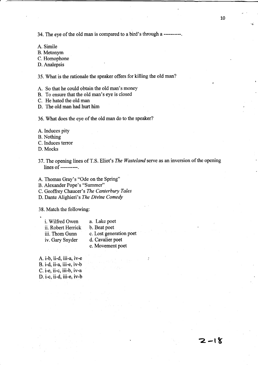34. The eye of the old man is compared to a bird's through a ----------.

A. Simile

B. Metonym

C. Homophone

D. Analepsis

35. What is the rationale the speaker offers for killing the old man?

A. So that he could obtain the old man's money

B. To ensure that the old man's eye is closed

C. He hated the old man

D. The old man had hurt him

36. What does the eye of the old man do to the speaker?

A. Induces pity

B. Nothing

C. Induces terror

D. Mocks

37. The opening lines of T.S. Eliot's The Wasteland serve as an inversion of the opening lines of ----------

A. Thomas Gray's "Ode on the Spring"

B. Alexander Pope's "Summer"

C. Geoffrey Chaucer's The Canterbury Tales

D. Dante Alighieri's The Divine Comedy

38. Match the following:

i. Wilfred Owen a. Lake poet<br>ii. Robert Herrick b. Beat poet ii. Robert Herrick iii. Thom Gunn c. Lost generation poet<br>iv. Gary Snyder d. Cavalier poet iv. Gary Snyder

e. Movement poet

A. i-b, ii-d, iii-a, iv-e B. i-d, ii-a, iii-e, iv-b C. i-e, ii-c, iii-b, iv-a D. i-c, ii-d, iii-e, iv-b

## $2 - 18$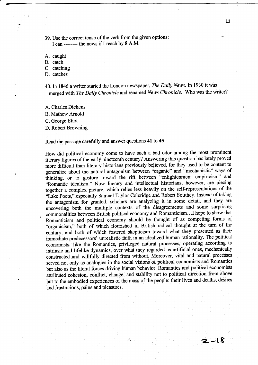39. Use the correct tense of the verb from the given options: I can -------- the news if I reach by 8 A.M.

A. caught

B. catch

a

C. catching

D. catches

40. In 1846 a writer started the London newspaper, The Daily News. In 1930 it was merged with The Daily Chronicle and renamed News Chronicle. Who was the writer?

A. Charles Dickens

B. Mathew Arnold

C. George Eliot

D. Robert Browning

Read the passage carefully and answer questions 4l to 45:

How did political economy come to have such a bad odor among the most prominent literary figures of the early nineteenth century? Answering this question has lately proved more difficult than literary historians previously believed, for they used to be content to generalize about the natural antagonism between "organic" and "mechanistic" ways of thinking, or to gesture toward the rift between "enlightenment empiricism" and "Romantic idealism." Now literary and intellectual historians, however, are piecing together a complex picture, which relies less heavily on the self-representations of the "Lake Poets," especially Samuel Taylor Coleridge and Robert Southey. Instead of taking the antagonism for granted, scholars are analyzing it in some detail, and they are uncovering both the multiple contexts of the disagreements and some surprising commonalities between British political economy and Romanticism...I hope to show that Romanticism and political economy should be thought of as competing forms of "organicism," both of which flourished in British radical thought at the turn of the century, and both of which fostered skepticism toward what they presented as their immediate predecessors' unrealistic faith in an idealized human rationality. The politica{ economists, like the Romantics, privileged natural processes, operating according to intrinsic and lifelike dynamics, over what they regarded as artificial ones, mechanically constructed and willfully directed from without, Moreover, vital and natural processes served not only as analogies in the social visions of political economists and Romantics but also as the literal forces driving human behavior. Romantics and political economists attributed cohesion, conflict, change, and stability not to political direction from above authouted conesion, conflict, change, and stating five to perform all contents and deaths, desires and frustrations, pains and pleasures.

TL

 $-18$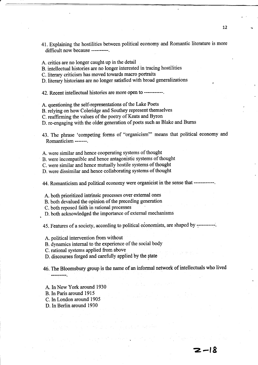- 41. Explaining the hostilities between political economy and Romantic literature is more difficult now because ----------.
- A. critics are no longer caught up in the detail
- B. intellectual histories are no longer interested in tracing hostilities
- C. literary criticism has moved towards macro portraits
- D. literary historians are no longer satisfied with broad generalizations

42. Recent intellectual histories are more open to -----------.

A. questioning the self-representations of the Lake Poets

B. relying on how Coleridge and Southey represent themselves

- C. reaffirming the values of the poetry of Keats and Byron
- D. re-engaging with the older generation of poets such as Blake and Burns
- 43. The phrase 'competing forms of "organicism" means that political economy and Romanticism -------.

A. were similar and hence cooperating systems of thought

B. were incompatible and hence antagonistic systems of thought

C. were similar and hence mutually hostile systems of thought

D. were dissimilar and hence collaborating systems of thought

44. Romanticism and political economy were organicist in the sense that ------------.

A. both prioritized intrinsic processes over external ones

B. both devalued the opinion of the preceding generation

C. both reposed faith in rational processes

D. both acknowledged the importance of external mechanisms

45. Features of a society, according to political economists, are shaped by -----------

A. political intervention from without

B. dynamics internal to the experience of the social body

C. rational systems applied from above

D. discourses forged and carefully applied by the gtate

46. The Bloomsbury group is the name of an informal network of intellectuals who lived

----------

A. In New York around 1930

B. In Paris around 1915

C. In London around 1905

D. In Berlin around 1930

12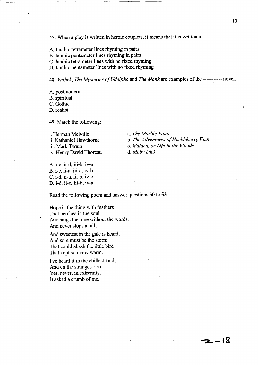47. When a play is written in heroic couplets, it means that it is written in ----------

- A. Iambic tetrameter lines rhyming in pairs
- B. Iambic pentameter lines rhyming in pairs
- C. Iambic tetrameter lines.with no fixed rhyming
- D. Iambic pentameter lines with no fixed rhyming

48. Vathek, The Mysteries of Udolpho and The Monk are examples of the ----------- novel.

A. postmodern B. spiritual C. Gothic

D. realist

49. Match the following:

i. Herman Melville **a. The Marble Faun**<br>ii. Nathaniel Hawthorne **b.** The Adventures of iv. Henry David Thoreau

ii. Nathaniel Hawthorne b. The Adventures of Huckleberry Finn<br>iii. Mark Twain c. Walden, or Life in the Woods c. Walden, or Life in the Woods<br>d. Moby Dick

A. i-c, ii-d, iii-b, iv-a B. i-c, ii-a, iii-d, iv-b  $C.$  i-d, ii-a, iii-b, iv-c D. i-d, ii-c, iii-b, iv-a

Read the following poem and answer questions 50 to 53.

Hope is the thing with feathers That perches in the soul, And sings the tune without the words, And never stops at all,

And sweetest in the gale is heard; And sore must be the storm That could abash the little bird That kept so many warm.

I've heard it in the chillest land, And on the strangest sea; Yet, never, in extremity, It asked a crumb of me.

 $2 - 18$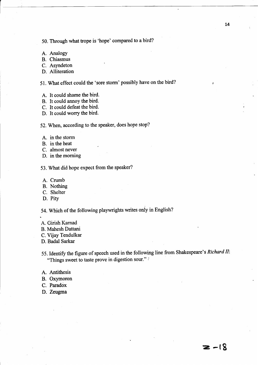50. Through what trope is 'hope' compared to a bird?

A. Analogy

B. Chiasmus

C. Asyndeton

D. Alliteration

51. What effect could the 'sore storm' possibly have on the bird?

- A. It could shame the bird.
- B. It could annoy the bird.
- C. It could defeat the bird.
- D. It could worry the bird.

52. When, according to the speaker, does hope stop?

- A. in the storm
- B. in the heat
- C. almost never
- D. in the morning

53. What did hope expect from the speaker?

A. Crumb

- B. Nothing
- C. Shelter
- D. Pity

54. Which of the following playwrights writes only in English?

- A. Girish Karnad
- B. Mahesh Dattani
- C. Vijay Tendulkar

D. Badal Sarkar

55. Identify the figure of speech used in the following line from Shakespeare's Richard II: "Things sweet to taste prove in digestion sour."

A. Antithesis

- B. Oxymoron
- C. Paradox
- D. Zeugma

 $\ge -18$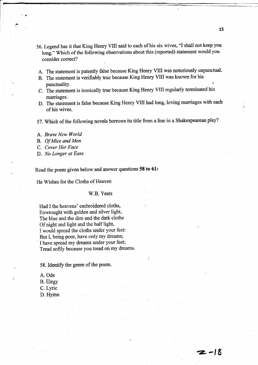- 56. Legend has it that King Henry VIII said to each of his six wives, "I shall not keep you long." Which of the following observations about this (reported) statement would you consider correct?
- A. The statement is patently false because King Henry VIII was notoriously unpunctual.
- B. The statement is verifiably true because King Henry VIII was known for his punctuality.
- C. The statement is ironically true because King Henry VIII regularly terminated his marriages.
- D. The statement is false because King Henry VIII had long, loving marriages with each of his wives.
- 57. Which of the following novels borrows its title from a line in a Shakespearean play?
- A. Brave New World
- B. Of Mice and Men

C. Cover Her Face

D. No Longer at Ease

Read the poem given below and answer questions 58 to 61:

He Wishes for the Cloths of Heaven

W.B. Yeats

Had I the heavens' embroidered cloths, Enwrought with golden and silver light, The blue and the dim and the dark cloths Of night and light and the half light. i would spread the cloths under your feet: But I, being poor, have only my dreams; I have spread my dreams under your feet; Tread softly because you tread on my dreams.

58. Identify the genre of the poem.

A. Ode

B. Elegy

- C. Lyric
- D. Hymn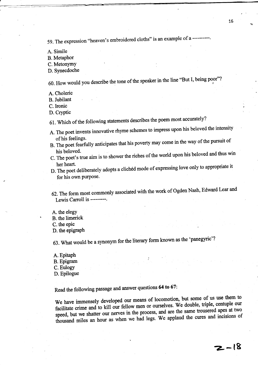59. The expression "heaven's embroidered cloths" is an example of a -

A. Simile

r

B. Metaphor

C. Metonymy

D. Synecdoche

60. How would you describe the tone of the speaker in the line "But I, being poor"?

A. Choleric

B. Jubilant

 $C.$  Ironic  $C_1$  is a set of  $C_2$  is a set of  $C_3$  is a set of  $C_4$  is a set of  $C_5$  is a set of  $C_6$  is a set of  $C_7$  is a set of  $C_7$  is a set of  $C_7$  is a set of  $C_7$  is a set of  $C_7$  is a set of  $C_7$  is a

D. Cryptic

61. which of the following statements describes the poem most accurately?

- A. The poet invents innovative rhyme schemes to impress upon his beloved the intensity
- of his feelings. B. The poet fearfully anticipates that his poverty may come in the way of the pursuit of his beloved.
- c. The poet's true aim is to shower the riches of the world upon his beloved an
- her heart.<br>D. The poet deliberately adopts a clichéd mode of expressing love only to appropriate it for his own purpose.
- 62. The form most commonly associated with the work of Ogden Nash, Edward Lear and Lewis Carroll is ---------
- A. the elegY

B. the limerick

C. the epic

D. the epigraph

63. What would be a synonym for the literary form known as the 'panegyric'?

A. Epitaph B. Epigram C. EulogY D. Epilogue

Read the following passage and answer questions 64 to 67:

We have immensely developed our means of locomotion, but some of us use them to facilitate crime and to kill our fellow men or ourselves. We double, triple, centuple our speed, but we shatter our nerves in the process, and are the same trousered apes at two thousand miles an hour as when we had legs. We applaud the cures and incisions of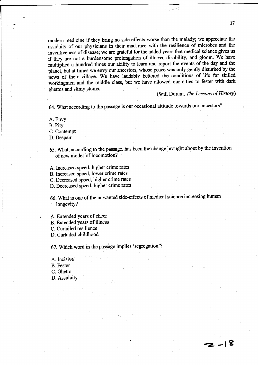modern medicine if they bring no side effects worse than the malady; we appreciate the assiduity of our physicians in their mad race with the resilience of microbes and the inventiveness of disease; we are gratefuI for the added years that medical science gives us if they are not a burdensome prolongation of illness, disability, and gloom. We have multiplied a hundred times our ability to learn and report the events of the day and the planet, but at times we envy our ancestors, whose peace was only gently disturbed by the news of their village. We have laudably bettered the conditions of life for skilled workingmen and the middle class, but we have allowed our cities to fester, with dark ghettos and slimy slums.

#### (Will Durant, The Lessons of History)

 $2 - 18$ 

64. What according to the passage is our occasional attitude towards our ancestors?

A. Envy

B. Pity

C. Contempt

D. Despair

65. What, according to the passage, has been the change brought about by the invention of new modes of locomotion?

A. lncreased speed, higher crime rates

B.Increased speed, lower crime rates

C. Decreased speed, higher crime rates

D. Decreased speed, higher crime rates

66. What is one of the unwanted side-effects of medical science increasing human longevity?

- A. Extended years of cheer
- B. Extended Years of illness

C. Curtailed resilience

D. Curtailed childhood

67. Which word in the passage implies 'segregation'?

- A.Incisive
- B. Fester

C. Ghetto

D. Assiduity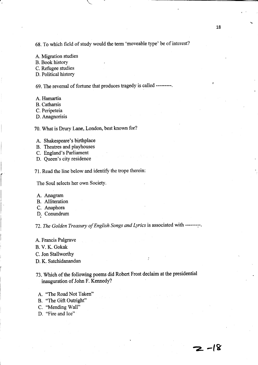68. To which field of study would the term 'moveable type' be of interest?

A. Migration studies

B. Book history

C. Refugee studies

D. Political history

69. The reversal of fortune that produces tragedy is called ---------

A. Hamartia

B. Catharsis

C. Peripeteia

D. Anagnorisis

70. What is Drury Lane, London, best known for?

A. Shakespeare's birthplace

B. Theatres and playhouses

C. England's Parliament

D. Queen's city residence

71. Read the line below and identify the trope therein:

The Soul selects her own SocietY.

- A. Anagram
- B. Alliteration
- C. Anaphora

D. Conundrum

72. The Golden Treasury of English Songs and Lyrics is associated with ---------

- A. Francis Palgrave
- B. V. K. Gokak

C. Jon Stallworthy

- D. K. Satchidanandan
- 73. Which of the following poems did Robert Frost declaim at the presidential inauguration of John F. Kennedy?
	- A. "The Road Not Taken"

B. "The Gift Outright"

- C. "Mending Wall"
- D. "Fire and lce"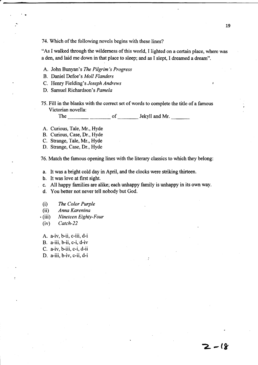74, Which of the following novels begins with these lines?

"As I walked through the wilderness of this world, I lighted on a certain place, where was a den, and laid me down in that place to sleep; and as I slept, I dreamed a dream".

- A. John Bunyan's The Pilgrim's Progress
- B. Daniel Defoe's Moll Flanders
- C. Henry Fielding's Joseph Andrews
- D. Samuel Richardson's Pamela
- 75. Fill in the blanks with the correct set of words to complete the title of a famous Victorian novella:

The of \_ Jekyll and Mr.

A. Curious, Tale, Mr., Hyde

B. Curious, Case, Dr., Hyde

C. Strange, Tale, Mr., Hyde

D. Strange, Case, Dr., Hyde

76. Match the famous opening lines with the literary classics to which they belong:

a. It was a bright cold day in April, and the clocks were striking thirteen.

b. It was love at first sight.

c. All happy families are alike; each unhappy family is unhappy in its own way.

d. You better not never tell nobody but God.

- (i) The Color Purple
- (ii) Anna Karenina
- (iii) Nineteen Eighty-Four

(iv) Catch-22

A. a-iv, b-ii, c-iii, d-i

B. a-iii, b-ii, c-i, d-iv

C. a-iv, b-iii, c-i, d-ii

D. a-iii, b-iv, c-ii, d-i

 $2 - (8$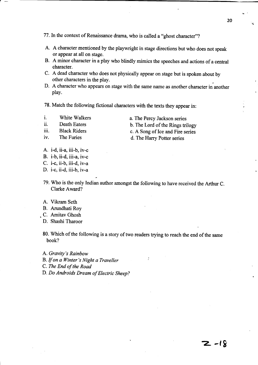77. In the context of Renaissance drama, who is called a "ghost character"?

- A. A character mentioned by the playwright in stage directions but who does not speak or appear at all on stage.
- B. A minor character in a play who blindly mimics the speeches and actions of a central character.
- C. A dead character who does not physically appear on stage but is spoken about by other characters in the play.
- D. A character who appears on stage with the same name as another character in another play.

78. Match the following fictional characters with the texts they appear in:

- i. White Walkers
- ii. Death Eaters
- iii. Black Riders
- iv. The Furies
- a. The Percy Jackson series
- b. The Lord of the Rings trilogy
- c. A Song of Ice and Fire series
- d. The Harry Potter series

- A. i-d, ii-a, iii-b, iv-c
- B. i-b, ii-d, iii-a, iv-c
- C. i-c, ii-b, iii-d, iv-a
- D. i-c, ii-d, iii-b, iv-a
- 79. Who is the only fndian author amongst the following to have received the Arthur C. Clarke Award?
- A. Vikram Seth
- B. Arundhati Roy
- C. Amitav Ghosh
- D. Shashi Tharoor
- 80. Which of the following is a story of two readers trying to reach the end of the same book?
- A. Gravity's Rainbow
- $B.$  If on a Winter's Night a Traveller
- C. The End of the Road
- D, Do Androids Dream of Electric Sheep?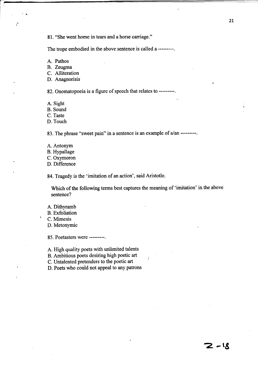t

81. "She went home in tears and a horse carriage."

The trope embodied in the above sentence is called a ---------

A. Pathos

7

B. Zeugma

C. Alliteration

D. Anagnorisis

82. Onomatopoeia is a figure of speech that relates to ---------.

A. Sight

B. Sound

C. Taste

D. Touch

83. The phrase "sweet pain" in a sentence is an example of  $a/an$  ---------

A. Antonym

B. Hypallage

C. Oxymoron

D. Difference

84. Tragedy is the 'imitation of an action', said Aristotle.

Which of the following terms best captures the meaning of 'imitation' in the above sentence?

A. Dithyramb

B. Exfoliation

C. Mimesis

D. Metonymic

85. Poetasters were

A. High quality poets with unlimited talents

B. Ambitious poets desiring high poetic art

C. Untalented pretenders to the poetic art

D. Poets who could not appeal to any patrons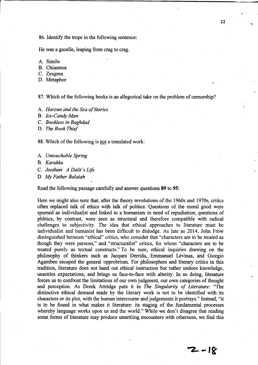86. Identify the trope in the following sentence:

He was a gazelle, leaping from crag to crag.

A. Simile

B. Chiasmus

C. Zeugma

D. Metaphor

87. Which of the following books is an allegorical take on the problem of censorship?

A. Haroun and the Sea of Stories

B. Ice-Candy'Man

C. Bookless in Baghdad

D. The Book Thief

88. Which of the following is not a translated work:

A. Untouchable Spring

B. Karukku

C, Joothan: A Dalit's Life

D. My Father Balaiah

Read the following passage carefully and answer questions 89 to 95:

Here we might also note that, after the theory revolutions of the 1960s and 1970s, critics often replaced talk of ethics with talk of politics: Questions of the moral good were spurned as individualist and linked to a humanism in need of repudiation; questions of pblitics, by contrast, were seen as structural and therefore compatible with radical challenges to subjectivity. The idea that ethical approaches to literature must be individualist and humanist has been difficult to dislodge. As late as 2014, John Frow distinguished between "ethical" critics, who consider that "characters are to be treated as though they were persons," and "structuralist" critics, for whom "characters are to be treated purely as textual constructs." To be sure, ethical inquiries drawing on the philosophy of thinkers such as Jacques Derrida, Emmanuel Lévinas, and Giorgio Agamben escaped the general opprobrium. For philosophers and literary critics in this tradition, literature does not hand out ethical instruction but rather undoes knowledge, unsettles expectations, and brings us face-to-face with alterity. In so doing, literafure forces us to confront the limitations of our own judgment, our own categories of thought and perception. As Derek Attridge puts it in The Singularity of Literature; "The distinctive ethical demand made by the literary work is not to be identified with its characters or its plot, with the human intercourse and judgements it portrays." Instead, "it is to be found in what makes it literature: its staging of the fundamental processes whereby language works upon us and the world." While we don't disagree that reading some forms of literature may produce unsettling encounters with otherness, we find this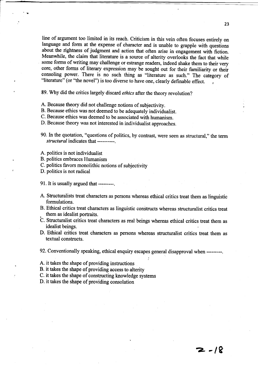line of argument too limited in its reach. Criticism in this vein often focuses entirely on language and form at the expense of character and is unable to grapple with questions about the rightness of judgment and action that often arise in engagement with fiction. Meanwhile, the claim that literature is a source of alterity overlooks the fact that while some forms of writing may challenge or estrange readers, indeed shake them to their very core, other forms of literary expression may be sought out for their familiarity or their consoling power. There is no such thing as "literature as such." The category of "literature" (or "the novel") is too diverse to have one, clearly definable effect.

89. why did the critics largely discard ethics after the theory revolution?

- A. Because theory did not challenge notions of subjectivity.
- B. Because ethics was not deemed to be adequately individualist.
- C. Because ethics was deemed to be associated with humanism.
- D. Because theory was not interested in individualist approaches.
- 90. In the quotation, "questions of politics, by contrast, were seen as strucfural," the term <sup>s</sup>tructural indicates that --------.
- A. politics is not individualist
- B. politics embraces Humanism
- C. politics favors monolithic notions of subjectivity
- D. politics is not radical

a

91. It is usually argued that ---------.

- A. Structuralists treat characters as persons whereas ethical critics treat them as linguistic formulations.
- B. Ethical critics treat characters as linguistic constructs whereas structuralist critics treat . them as idealist portraits.
- C. Structuralist critics treat characters as real beings whereas ethical critics treat them as idealist beings.
- D. Ethical critics treat characters as persons whereas strucfuralist critics treat them as textual constructs.

92. Conventionally speaking, ethical enquiry escapes general disapproval when

A. it takes the shape of providing instructions

- B. it takes the shape of providing access to alterity
- C. it takes the shape of constructing knowledge systems

D. it takes the shape of providing consolation

 $2 - 18$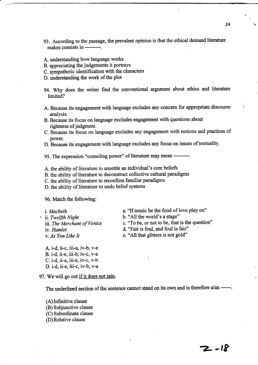- 93. According to the passage, the prevalent opinion is that the ethical demand literature makes consists in ---------.
- A. understanding how language works
- B. appreciating the judgemerits it portrays
- C. sympathetic identification with the characters
- D. understanding the work of the plot
- 94. Why does the writer find the conventional argument about ethics and literature limited?
- A. Because its engagement with language excludes any concern for appropriate discourse ' analysis.
- B. Because its focus on language excludes engagement with questions about rightness of judgment.
- C. Because its focus on language excludes any engagement with notions and practices of power.
- D. because its engagement with language excludes any focus on issues of textuality.
- 95. The expression "consoling power" of literature may mean
- A. the ability of literature to unsettle an individual's core beliefs
- B. the ability of literature to deconstruct collective cultural paradigms
- C. the ability of literature to reconfirm familiar paradigms
- D. the ability of literature to undo belief systems

96. Match the following:

i. Macbeth **a.** "If music be the food of love play on"<br>i. Twelfth Night b. "All the world's a stage" iii. The Merchant of Venice iv. Hamlet d. "Fair is foul, and foul is fair"<br>v. As You Like It e. "All that glitters is not gold"

- b. "All the world's a stage"
- c. "To be, or not to be, that is the question"
- 
- e. "All that glitters is not gold"

A.  $i-d$ ,  $i\ni-c$ ,  $i\ni i-a$ ,  $iv-b$ ,  $v-e$ B. i-d, ii-e, iii-b, iv-c, v-a  $C.$  i-d, ii-a, iii-e, iv-c, v-b D. i-d, ii-e, iii-c, iv-b, v-a

97. We will go out if it does not rain.

The underlined section of the sentence cannot stand on its own and is therefore  $a/an$ ------.

(A)Infinitive clause (B) Subjunctive clause (C) Subordinate clause (D)Relative clause

,

 $2 - 18$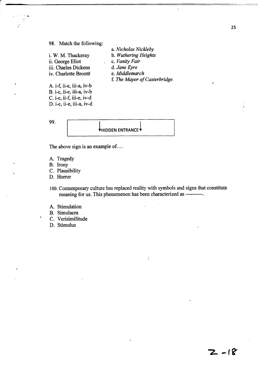#### 98. Match the following:

i. W. M. Thackeray b. Wuthering Heights<br>ii. George Eliot c. Vanity Fair ii. George Eliot c. Vanity Fai<br>iii. Charles Dickens d. Jane Eyre iii. Charles Dickens d. Jane Eyre<br>iv. Charlotte Brontë e. Middlemarch iv. Charlotte Brontë

a. Nicholas Nickleby

- 
- 
- f. The Mayor of Casterbridge

A. i-f, ii-e, iii-a, iv-b B. i-c, ii-e, iii-a, iv-b C. i-c, ii-f, iii-e, iv-d D. i-c, ii-e, iii-a, iv-d

99.

# $\star$ HIDDEN ENTRANCE $\star$

The above sign is an example of....

- A. Tragedy
- B. Irony
- C. Plausibility
- D. Horror
- 100. Contemporary culture has replaced reality with symbols and signs that constitute meaning for us. This phenomenon has been characterized as ----------.
- A. Stimulation
- 
- C. Verisimilitude
- D. Stimulus